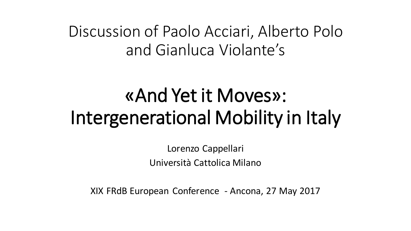## Discussion of Paolo Acciari, Alberto Polo and Gianluca Violante's

# «And Yet it Moves»: Intergenerational Mobility in Italy

Lorenzo Cappellari Università Cattolica Milano

XIX FRdB European Conference - Ancona, 27 May 2017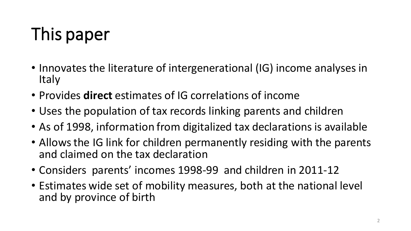# This paper

- Innovates the literature of intergenerational (IG) income analyses in **Italy**
- Provides **direct** estimates of IG correlations of income
- Uses the population of tax records linking parents and children
- As of 1998, information from digitalized tax declarations is available
- Allows the IG link for children permanently residing with the parents and claimed on the tax declaration
- Considers parents' incomes 1998-99 and children in 2011-12
- Estimates wide set of mobility measures, both at the national level and by province of birth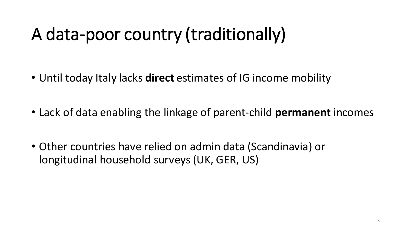# A data-poor country (traditionally)

- Until today Italy lacks **direct** estimates of IG income mobility
- Lack of data enabling the linkage of parent-child **permanent** incomes
- Other countries have relied on admin data (Scandinavia) or longitudinal household surveys (UK, GER, US)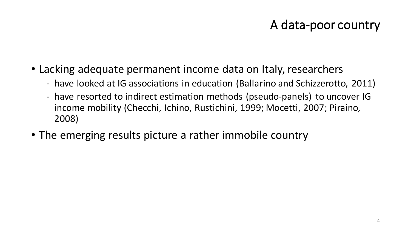### A data-poor country

- Lacking adequate permanent income data on Italy, researchers
	- have looked at IG associations in education (Ballarino and Schizzerotto, 2011)
	- have resorted to indirect estimation methods (pseudo-panels) to uncover IG income mobility (Checchi, Ichino, Rustichini, 1999; Mocetti, 2007; Piraino, 2008)
- The emerging results picture a rather immobile country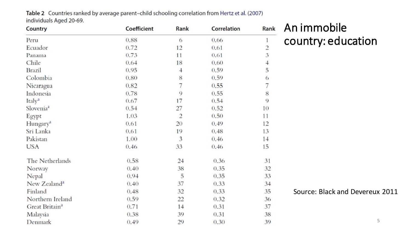Table 2 Countries ranked by average parent-child schooling correlation from Hertz et al. (2007) individuals Aged 20-69.

| Country                    | Coefficient | Rank           | Correlation | Rank           |
|----------------------------|-------------|----------------|-------------|----------------|
| Peru                       | 0.88        | 6              | 0.66        | 1              |
| Ecuador                    | 0.72        | 12             | 0.61        | $\overline{c}$ |
| Panama                     | 0.73        | 11             | 0.61        | 3              |
| Chile                      | 0.64        | 18             | 0.60        | $\overline{4}$ |
| <b>Brazil</b>              | 0.95        | $\overline{4}$ | 0.59        | 5              |
| Colombia                   | 0.80        | 8              | 0.59        | 6              |
| Nicaragua                  | 0.82        | 7              | 0.55        | 7              |
| Indonesia                  | 0.78        | 9              | 0.55        | 8              |
| Italy <sup>a</sup>         | 0.67        | 17             | 0.54        | 9              |
| Slovenia <sup>a</sup>      | 0.54        | 27             | 0.52        | 10             |
| Egypt                      | 1.03        | $\overline{2}$ | 0.50        | 11             |
| Hungary <sup>a</sup>       | 0.61        | 20             | 0.49        | 12             |
| Sri Lanka                  | 0.61        | 19             | 0.48        | 13             |
| Pakistan                   | 1.00        | 3              | 0.46        | 14             |
| <b>USA</b>                 | 0.46        | 33             | 0.46        | 15             |
| The Netherlands            | 0.58        | 24             | 0.36        | 31             |
| Norway                     | 0.40        | 38             | 0.35        | 32             |
| Nepal                      | 0.94        | 5              | 0.35        | 33             |
| New Zealand <sup>a</sup>   | 0.40        | 37             | 0.33        | 34             |
| Finland                    | 0.48        | 32             | 0.33        | 35             |
| Northern Ireland           | 0.59        | 22             | 0.32        | 36             |
| Great Britain <sup>a</sup> | 0.71        | 14             | 0.31        | 37             |
| Malaysia                   | 0.38        | 39             | 0.31        | 38             |
| Denmark                    | 0.49        | 29             | 0.30        | 39             |

#### An immobile country: education

Source: Black and Devereux 2011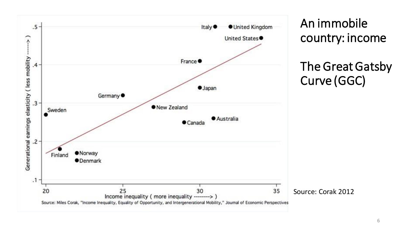

An immobile country: income

### The Great Gatsby Curve (GGC)

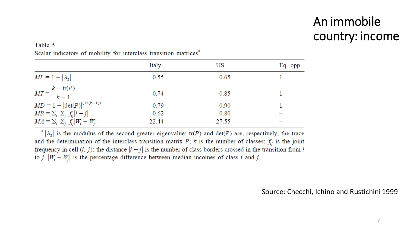## An immobile country: income

#### Table 5 Scalar indicators of mobility for interclass transition matrices<sup>a</sup>

|                                               | Italy | US    | Eq. opp. |
|-----------------------------------------------|-------|-------|----------|
| $ML = 1 -  \lambda_2 $                        | 0.55  | 0.65  |          |
| $MT = \frac{k - \text{tr}(P)}{k - 1}$         | 0.74  | 0.85  |          |
| $MD = 1 -  det(P) ^{(1/(k-1))}$               | 0.79  | 0.90  |          |
| $MB = \sum_i \sum_j f_{ij}  i - j $           | 0.62  | 0.80  |          |
| $MA = \sum_i \sum_j \dot{f}_{ii}  W_i - W_i $ | 22.44 | 27.55 |          |

 $|\lambda_2|$  is the modulus of the second greater eigenvalue; tr(P) and det(P) are, respectively, the trace and the determination of the interclass transition matrix  $P$ ; k is the number of classes;  $f_{ij}$  is the joint frequency in cell  $(i, j)$ ; the distance  $|i - j|$  is the number of class borders crossed in the transition from i to j.  $|W_i - W_j|$  is the percentage difference between median incomes of class i and j.

#### Source: Checchi, Ichino and Rustichini 1999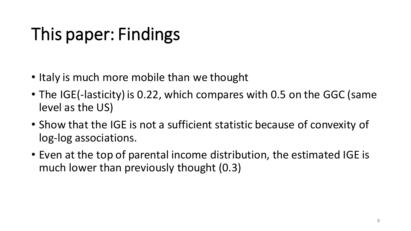# This paper: Findings

- Italy is much more mobile than we thought
- The IGE(-lasticity) is 0.22, which compares with 0.5 on the GGC (same level as the US)
- Show that the IGE is not a sufficient statistic because of convexity of log-log associations.
- Even at the top of parental income distribution, the estimated IGE is much lower than previously thought (0.3)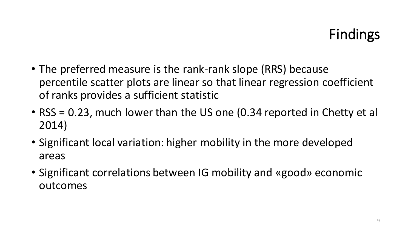## Findings

- The preferred measure is the rank-rank slope (RRS) because percentile scatter plots are linear so that linear regression coefficient of ranks provides a sufficient statistic
- RSS = 0.23, much lower than the US one (0.34 reported in Chetty et al 2014)
- Significant local variation: higher mobility in the more developed areas
- Significant correlations between IG mobility and «good» economic outcomes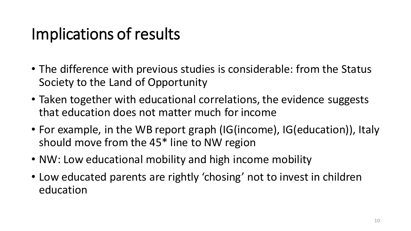## Implications of results

- The difference with previous studies is considerable: from the Status Society to the Land of Opportunity
- Taken together with educational correlations, the evidence suggests that education does not matter much for income
- For example, in the WB report graph (IG(income), IG(education)), Italy should move from the 45\* line to NW region
- NW: Low educational mobility and high income mobility
- Low educated parents are rightly 'chosing' not to invest in children education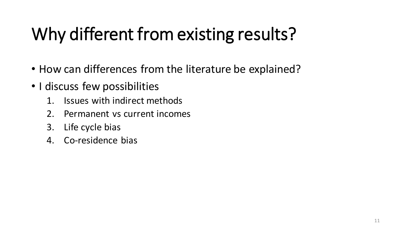# Why different from existing results?

- How can differences from the literature be explained?
- I discuss few possibilities
	- 1. Issues with indirect methods
	- 2. Permanent vs current incomes
	- 3. Life cycle bias
	- 4. Co-residence bias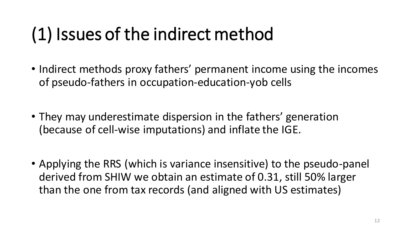# (1) Issues of the indirect method

- Indirect methods proxy fathers' permanent income using the incomes of pseudo-fathers in occupation-education-yob cells
- They may underestimate dispersion in the fathers' generation (because of cell-wise imputations) and inflate the IGE.
- Applying the RRS (which is variance insensitive) to the pseudo-panel derived from SHIW we obtain an estimate of 0.31, still 50% larger than the one from tax records (and aligned with US estimates)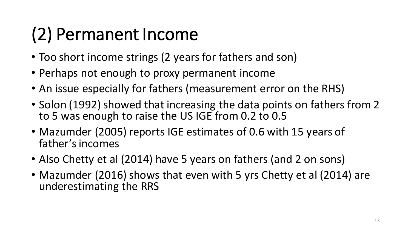# (2) Permanent Income

- Too short income strings (2 years for fathers and son)
- Perhaps not enough to proxy permanent income
- An issue especially for fathers (measurement error on the RHS)
- Solon (1992) showed that increasing the data points on fathers from 2 to 5 was enough to raise the US IGE from 0.2 to 0.5
- Mazumder (2005) reports IGE estimates of 0.6 with 15 years of father's incomes
- Also Chetty et al (2014) have 5 years on fathers (and 2 on sons)
- Mazumder (2016) shows that even with 5 yrs Chetty et al (2014) are underestimating the RRS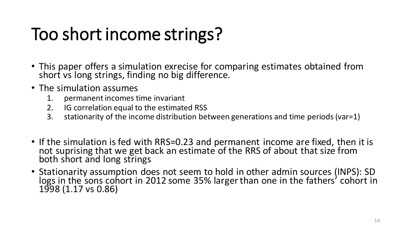# Too short income strings?

- This paper offers a simulation exrecise for comparing estimates obtained from short vs long strings, finding no big difference.
- The simulation assumes
	- 1. permanent incomes time invariant
	- 2. IG correlation equal to the estimated RSS
	- 3. stationarity of the income distribution between generations and time periods(var=1)
- If the simulation is fed with RRS=0.23 and permanent income are fixed, then it is not suprising that we get back an estimate of the RRS of about that size from both short and long strings
- Stationarity assumption does not seem to hold in other admin sources (INPS): SD logs in the sons cohort in 2012 some 35% larger than one in the fathers' cohort in 1998 (1.17 vs 0.86)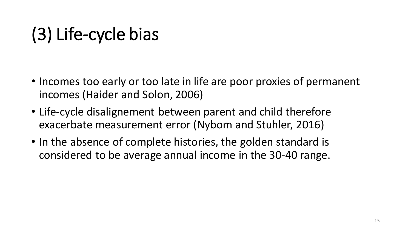# (3) Life-cycle bias

- Incomes too early or too late in life are poor proxies of permanent incomes (Haider and Solon, 2006)
- Life-cycle disalignement between parent and child therefore exacerbate measurement error (Nybom and Stuhler, 2016)
- In the absence of complete histories, the golden standard is considered to be average annual income in the 30-40 range.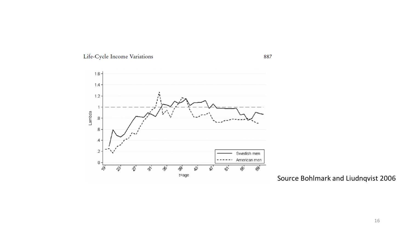



Source Bohlmark and Liudnqvist 2006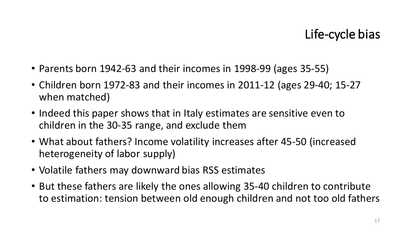### Life-cycle bias

- Parents born 1942-63 and their incomes in 1998-99 (ages 35-55)
- Children born 1972-83 and their incomes in 2011-12 (ages 29-40; 15-27 when matched)
- Indeed this paper shows that in Italy estimates are sensitive even to children in the 30-35 range, and exclude them
- What about fathers? Income volatility increases after 45-50 (increased heterogeneity of labor supply)
- Volatile fathers may downward bias RSS estimates
- But these fathers are likely the ones allowing 35-40 children to contribute to estimation: tension between old enough children and not too old fathers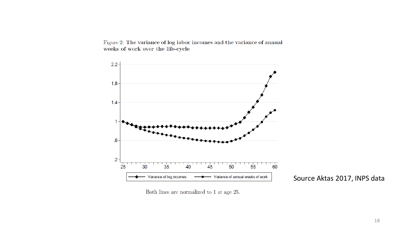Figure 2: The variance of log labor incomes and the variance of annual weeks of work over the life-cycle



Source Aktas 2017, INPS data

Both lines are normalized to 1 at age 25.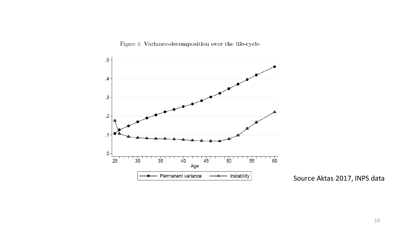$.5\phantom{0}$  $\mathcal{A}_{\mathcal{A}}$  $\cdot$ 3  $\cdot$ .2  $\cdot$ 1  $\mathbf{0}$  $\overline{60}$  $\frac{1}{55}$  $2<sub>5</sub>$  $30$  $50$  $3<sub>5</sub>$ 40 45 Age Permanent variance Instability

Figure 4: Variance-decomposition over the life-cycle  $\,$ 

Source Aktas 2017, INPS data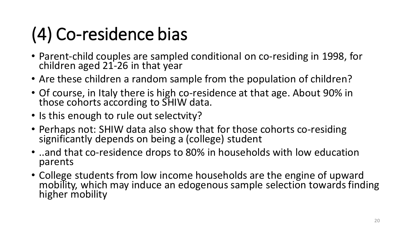# (4) Co-residence bias

- Parent-child couples are sampled conditional on co-residing in 1998, for children aged 21-26 in that year
- Are these children a random sample from the population of children?
- Of course, in Italy there is high co-residence at that age. About 90% in those cohorts according to SHIW data.
- Is this enough to rule out selectvity?
- Perhaps not: SHIW data also show that for those cohorts co-residing significantly depends on being a (college) student
- ..and that co-residence drops to 80% in households with low education parents
- College students from low income households are the engine of upward mobility, which may induce an edogenous sample selection towards finding higher mobility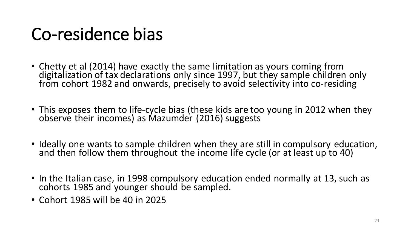## Co-residence bias

- Chetty et al (2014) have exactly the same limitation as yours coming from digitalization of tax declarations only since 1997, but they sample children only from cohort 1982 and onwards, precisely to avoid selectivity into co-residing
- This exposes them to life-cycle bias (these kids are too young in 2012 when they observe their incomes) as Mazumder (2016) suggests
- Ideally one wants to sample children when they are still in compulsory education, and then follow them throughout the income life cycle (or at least up to 40)
- In the Italian case, in 1998 compulsory education ended normally at 13, such as cohorts 1985 and younger should be sampled.
- Cohort 1985 will be 40 in 2025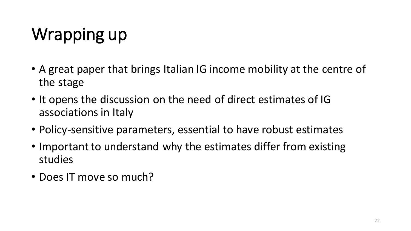# Wrapping up

- A great paper that brings Italian IG income mobility at the centre of the stage
- It opens the discussion on the need of direct estimates of IG associations in Italy
- Policy-sensitive parameters, essential to have robust estimates
- Important to understand why the estimates differ from existing studies
- Does IT move so much?